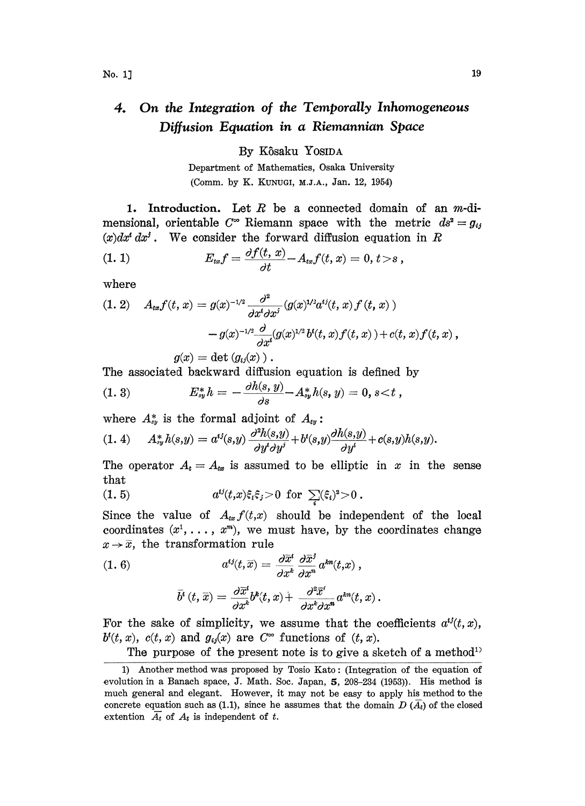## 4. On the Integration of the Temporally Inhomogeneous Diffusion Equation in a Riemannian Space

By Kôsaku Yosida

Department of Mathematics, Osaka University (Comm. by K. KUNUGI, M.J.A., Jan. 12, 1954)

1. Introduction. Let  $R$  be a connected domain of an  $m$ -dimensional, orientable  $C^{\infty}$  Riemann space with the metric  $ds^2 = g_{ij}$ 

$$
(x)dxt dxj.
$$
 We consider the forward diffusion equation in R  
(1. 1) 
$$
E_{tx}f = \frac{\partial f(t, x)}{\partial t} - A_{tx}f(t, x) = 0, t > s,
$$

where

(1. 2) 
$$
A_{tx}f(t, x) = g(x)^{-1/2} \frac{\partial^2}{\partial x^t \partial x^j} (g(x)^{1/2} a^{tj}(t, x) f(t, x)) - g(x)^{-1/2} \frac{\partial}{\partial x^t} (g(x)^{1/2} b^t(t, x) f(t, x)) + c(t, x) f(t, x),
$$

$$
g(x) = \det (g(x))
$$

$$
g(x) = \det (g_{ij}(x)) .
$$

The associated backward diffusion equation is defined by

(1. 3) 
$$
E_{sy}^* h = -\frac{\partial h(s, y)}{\partial s} - A_{sy}^* h(s, y) = 0, s < t,
$$

where  $A_{xy}^*$  is the formal adjoint of  $A_{xy}$ :

$$
(1.4) \tA_{sy}^*h(s,y)=a^{ij}(s,y)\frac{\partial^2h(s,y)}{\partial y^i\partial y^j}+b^i(s,y)\frac{\partial h(s,y)}{\partial y^i}+c(s,y)h(s,y).
$$

The operator  $A_t = A_{xx}$  is assumed to be elliptic in x in the sense that

(1.5) 
$$
a^{ij}(t,x)\xi_i\xi_j > 0 \text{ for } \sum_i (\xi_i)^2 > 0.
$$

Since the value of  $A_{tx} f(t,x)$  should be independent of the local coordinates  $(x^1, \ldots, x^m)$ , we must have, by the coordinates change  $x \rightarrow \overline{x}$ , the transformation rule

(1. 6) 
$$
a^{ij}(t,\overline{x}) = \frac{\partial \overline{x}^i}{\partial x^k} \frac{\partial \overline{x}^j}{\partial x^n} a^{km}(t,x) ,
$$

$$
\bar{b}^i(t,\overline{x})=\frac{\partial\overline{x}^i}{\partial x^k}b^k(t,x)+\frac{\partial^2\overline{x}^i}{\partial x^k\partial x^{\bar{n}}}a^{kn}(t,x)\,.
$$

For the sake of simplicity, we assume that the coefficients  $a^{ij}(t, x)$ ,  $b^{i}(t, x)$ ,  $c(t, x)$  and  $g_{ij}(x)$  are  $C^{\infty}$  functions of  $(t, x)$ .

The purpose of the present note is to give a sketch of a method<sup>11</sup>

<sup>1)</sup> Another method was proposed by Tosio Kato- (Integration of the equation of evolution in a Banach space, J. Math. Soc. Japan,  $5$ , 208-234 (1953)). His method is much general and elegant. However, it may not be easy to apply his method to the concrete equation such as (1.1), since he assumes that the domain  $D(\overline{A}_{t})$  of the closed extention  $\overline{A_t}$  of  $A_t$  is independent of t.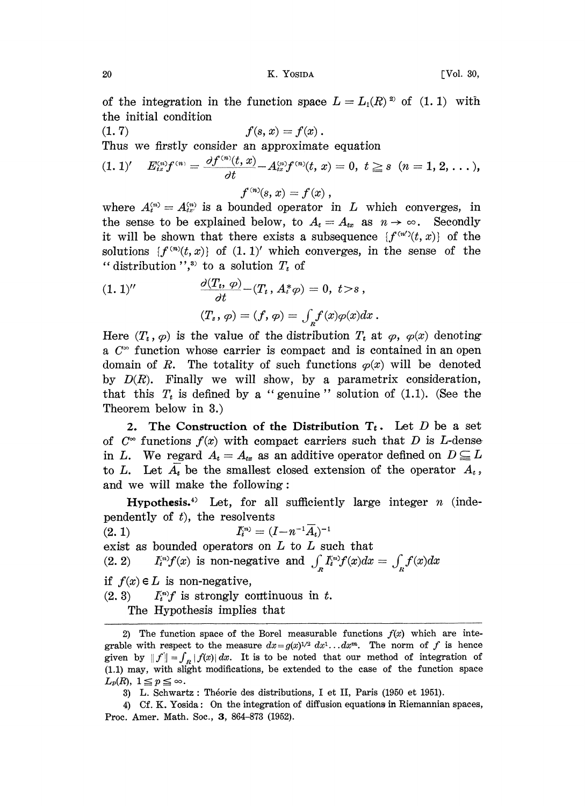of the integration in the function space  $L = L_1(R)^{2}$  of  $(1, 1)$  with the initial condition

(1.7) 
$$
f(s, x) = f(x).
$$
Thus we firstly consider an approximate equation  
\n
$$
(1.1)' \quad E_{ix}^{(n)} f^{(n)} = \frac{\partial f^{(n)}(t, x)}{\partial t} - A_{ix}^{(n)} f^{(n)}(t, x) = 0, \ t \ge s \ (n = 1, 2, \ldots),
$$

$$
f^{(n)}(s, x) = f(x),
$$

where  $A_i^{(n)} = A_{ix}^{(n)}$  is a bounded operator in L which converges, in the sense to be explained below, to  $A_t = A_{tx}$  as  $n \to \infty$ . Secondly it will be shown that there exists a subsequence  $\{f^{(n')}(t, x)\}$  of the solutions  $\{f^{(n)}(t,x)\}\;$  of  $(1,1)'$  which converges, in the sense of the "distribution",<sup>3)</sup> to a solution  $T_t$  of

(1. 1)'' 
$$
\frac{\partial (T_t, \varphi)}{\partial t} - (T_t, A^* \varphi) = 0, t > s,
$$

$$
(T_s, \varphi) = (f, \varphi) = \int_R f(x) \varphi(x) dx.
$$

Here  $(T_t, \varphi)$  is the value of the distribution  $T_t$  at  $\varphi$ ,  $\varphi(x)$  denoting a  $C^{\infty}$  function whose carrier is compact and is contained in an open domain of R. The totality of such functions  $\varphi(x)$  will be denoted by  $D(R)$ . Finally we will show, by a parametrix consideration, that this  $T_t$  is defined by a "genuine" solution of  $(1.1)$ . (See the Theorem below in 3.)

2. The Construction of the Distribution  $T_t$ . Let D be a set of  $C^{\infty}$  functions  $f(x)$  with compact carriers such that D is L-dense in L. We regard  $A_t=A_{t_x}$  as an additive operator defined on  $D\subseteq L$ to L. Let  $\overline{A_t}$  be the smallest closed extension of the operator  $A_t$ , and we will make the following:

Hypothesis.<sup>4)</sup> Let, for all sufficiently large integer  $n$  (independently of  $t$ ), the resolvents

(2.1) exist as bounded operators on  $L$  to  $L$  such that  $\mathit{I}^{\scriptscriptstyle(n)}_t = (I\!-\!n^{-1}A_t)$ (2.2)  $I_i^{(n)}f(x)$  is non-negative and  $\int_{\alpha} I_i^{(n)}f(x)dx = \int_{\alpha} f(x)dx$ if  $f(x) \in L$  is non-negative,  $(2, 3)$  lightly continuous in t. The Hypothesis implies that

<sup>2)</sup> The function space of the Borel measurable functions  $f(x)$  which are integrable with respect to the measure  $dx=g(x)^{1/2} dx^{1} \dots dx^{m}$ . The norm of f is hence given by  $|| f || = \int_R |f(x)| dx$ . It is to be noted that our method of integration of (1.1) may, with slight modifications, be extended to the case of the function space.  $L_p(R), 1 \leq p \leq \infty.$ 

<sup>3)</sup> L. Schwartz: Théorie des distributions, I et II, Paris (1950 et 1951).

<sup>4)</sup> Cf. K. Yosida: On the integration of diffusion equations in Riemannian spaces, Proc. Amer. Math. Soc., 3, 864-873 (1952).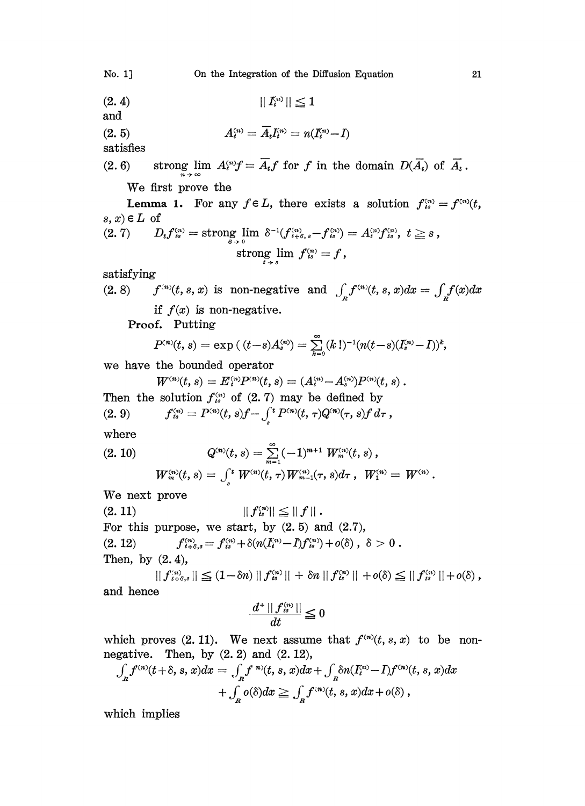## No. 1] On the Integration of the Diffusion Equation 21

(2.4)  $||I_n^{(n)}|| \leq 1$ 

 $A_i^{(n)} = \overline{A}_i I_i^{(n)} = n(I_i^{(n)} - I)$ (2. 5)

satisfies

and

(2.6) strong lim  $A_i^{(n)}f = \overline{A}_i f$  for f in the domain  $D(\overline{A}_i)$  of  $\overline{A}_i$ .

We first prove the

**Lemma 1.** For any  $f \in L$ , there exists a solution  $f_{is}^{(n)} = f^{(n)}(t)$ , s, x)  $\in L$  of

$$
(2,7) \qquad D_{t}f^{\scriptscriptstyle(n)}_{\scriptscriptstyle{is}} = \text{strong}\lim_{\substack{s\to 0\\ \scriptstyle s\to 0}} \delta^{-1}(f^{\scriptscriptstyle(n)}_{\scriptscriptstyle{t+\delta},\scriptscriptstyle{s}}-f^{\scriptscriptstyle(n)}_{\scriptscriptstyle{is}}) = A^{\scriptscriptstyle(n)}_{\scriptscriptstyle{t}}f^{\scriptscriptstyle(n)}_{\scriptscriptstyle{is}},\ t\geq s\,,\\ \text{strong}\,\lim_{\substack{t\to s\\ \scriptstyle t\to s}} \,f^{\scriptscriptstyle(n)}_{\scriptscriptstyle{is}} = f\,,
$$

satisfying

(2.8)  $f^{(n)}(t, s, x)$  is non-negative and  $\int_{s} f^{(n)}(t, s, x) dx = \int_{s} f(x) dx$ if  $f(x)$  is non-negative.

Proof. Putting

$$
P^{(n)}(t,s) = \exp\left((t-s)A_s^{(n)}\right) = \sum_{k=0}^{\infty} (k!)^{-1} (n(t-s)(I_s^{(n)}-I))^k,
$$

we have the bounded operator

$$
W^{\scriptscriptstyle(n)}(t,s) = E^{\scriptscriptstyle(n)}_i P^{\scriptscriptstyle(n)}(t,s) = (A^{\scriptscriptstyle(n)}_i\!\!-\!A^{\scriptscriptstyle(n)}_s) P^{\scriptscriptstyle(n)}(t,s) \ .
$$

Then the solution  $f_{is}^{(n)}$  of (2.7) may be defined by<br>
(2.9)  $f_{is}^{(n)} = P^{(n)}(t, s) f - \int^t P^{(n)}(t, \tau) Q^{(n)}(\tau, s) f d\tau$ , (2.9)

where

$$
(2.~10) \qquad \qquad Q^{(n)}(t,s)=\sum_{m=1}^{\infty}(-1)^{m+1} \; W_m^{(n)}(t,s) \, , \\ \qquad \, W_m^{(n)}(t,s)=\int_s^t \, W^{(n)}(t,\,\tau) \, W_{m-1}^{(n)}(\tau,s)d\tau \, , \; \, W_1^{(n)}=\, W^{(n)} \, .
$$

We next prove

 $|| f_{is}^{(n)} || \leq || f ||.$ For this purpose, we start, by  $(2.5)$  and  $(2.7)$ ,  $(2. 12)$  $f_{i+8,s}^{(n)} = f_{is}^{(n)} + \delta(n(I_i^{(n)} - I) f_{is}^{(n)}) + o(\delta)$ ,  $\delta > 0$ . Then, by  $(2.4)$ ,

 $||f_{t+\delta,s}^{(n)}|| \leq (1-\delta n) ||f_{ts}^{(n)}|| + \delta n ||f_{ts}^{(n)}|| + o(\delta) \leq ||f_{ts}^{(n)}|| + o(\delta),$ and hence

$$
\frac{d^+\,||\,f_{\,\scriptscriptstyle t\!\scriptscriptstyle S}^{\scriptscriptstyle (n)}\,||}{dt}\!\leq\!0
$$

which proves (2.11). We next assume that  $f^{(n)}(t, s, x)$  to be nonnegative. Then, by  $(2. 2)$  and  $(2. 12)$ ,

$$
\begin{aligned} \int_{\mathbf{R}} f^{(n)}(t+\delta, s, x) dx &= \int_{\mathbf{R}} f^{(n)}(t, s, x) dx + \int_{\mathbf{R}} \delta n(I_t^{(n)} - I) f^{(n)}(t, s, x) dx \\ &+ \int_{\mathbf{R}} o(\delta) dx \ge \int_{\mathbf{R}} f^{(n)}(t, s, x) dx + o(\delta) \;, \end{aligned}
$$

which implies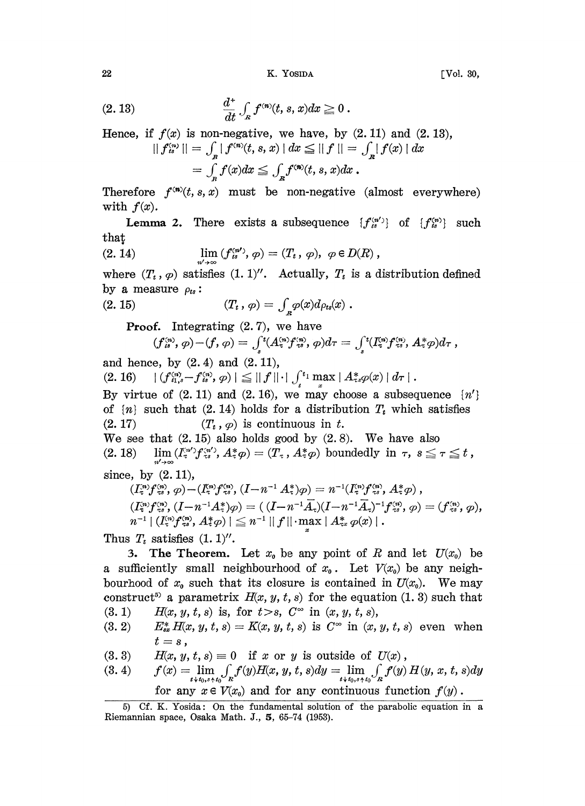22 K. YOSIDA [Vol. 30,

$$
(2.13) \qquad \qquad \frac{d^+}{dt} \int_{R} f^{(n)}(t,s,x) dx \ge 0
$$

Hence, if  $f(x)$  is non-negative, we have, by  $(2.11)$  and  $(2.13)$ ,<br> $||f^{(n)}|| = \int |f^{(n)}(t, s, x)| dx < ||f|| = \int |f(x)| dx$  $dx$ 

$$
|| f_{is}^{(n)} || = \int_{B} | f^{(n)}(t, s, x) | dx \leq || f || = \int_{B} | f(x) ||
$$
  
= 
$$
\int_{B} f(x) dx \leq \int_{B} f^{(n)}(t, s, x) dx.
$$

Therefore  $f^{(n)}(t,s,x)$  must be non-negative (almost everywhere) with  $f(x)$ .

**Lemma 2.** There exists a subsequence  $\{f_{is}^{(n')}\}\$  of  $\{f_{is}^{(n)}\}\$  such that

(2. 14) 
$$
\lim_{n' \to \infty} (f_{is}^{(n')}, \varphi) = (T_t, \varphi), \varphi \in D(R),
$$

where  $(T_t, \varphi)$  satisfies  $(1.1)''$ . Actually,  $T_t$  is a distribution defined by a measure  $\rho_{ts}$ :

(2. 15) 
$$
(T_t, \varphi) = \int_{R} \varphi(x) d\rho_{ts}(x) .
$$

**Proof.** Integrating  $(2.7)$ , we have

$$
(f_{\iota s}^{(n)}, \varphi)-(f, \varphi)=\int_{s}^{t}(A_{\tau}^{(n)}f_{\tau s}^{(n)}, \varphi)d\tau=\int_{s}^{t}(I_{\tau s}^{(n)}f_{\tau s}^{(n)}, A_{\tau}^{*}\varphi)d\tau,
$$

and hence, by  $(2.4)$  and  $(2.11)$ ,

(2. 16)  $| (f_{i_1,s}^{(n)} - f_{is}^{(n)}, \varphi) | \leq || f || \cdot | \int_s^{t_1} \max_x | A_{\tau s}^* \varphi(x) | d\tau |$ .

By virtue of  $(2.11)$  and  $(2.16)$ , we may choose a subsequence  $\{n'\}$ of  $\{n\}$  such that (2.14) holds for a distribution  $T_t$  which satisfies  $(T_t, \varphi)$  is continuous in t. We see that  $(2.15)$  also holds good by  $(2.8)$ . We have also

(2. 18)  $\lim_{n'\to\infty}(I_{\tau}^{n'}f_{\tau s}^{n'}, A_{\tau}^*\varphi) = (T_{\tau}, A_{\tau}^*\varphi)$  boundedly in  $\tau, s \leq \tau \leq t$ , since, by  $(2.11)$ ,

$$
(I_{\tau}^{n})f_{\tau_{\sigma}}^{(n)}, \varphi) - (I_{\tau}^{(n)}f_{\tau_{\sigma}}^{(n)}, (I - n^{-1}A_{\tau}^{*})\varphi) = n^{-1}(I_{\tau}^{(n)}f_{\tau_{\sigma}}^{(n)}, A_{\tau}^{*}\varphi) , \\ (I_{\tau}^{(n)}f_{\tau_{\sigma}}^{(n)}, (I - n^{-1}A_{\tau}^{*})\varphi) = ((I - n^{-1}\bar{A}_{\tau})(I - n^{-1}\bar{A}_{\tau})^{-1}f_{\tau_{\sigma}}^{(n)}, \varphi) = (f_{\tau_{\sigma}}^{(n)}, \varphi), \\ n^{-1} | (I_{\tau}^{(n)}f_{\tau_{\sigma}}^{(n)}, A_{\tau}^{*}\varphi)| \leq n^{-1} ||f|| \cdot \max_{x} | A_{\tau_{x}}^{*}\varphi(x) |.
$$
  
s  $T_{t}$  satisfies (1. 1)''.

Thus  $T_t$  satisfies  $(1.1)$ ".

3. The Theorem. Let  $x_0$  be any point of R and let  $U(x_0)$  be a sufficiently small neighbourhood of  $x_0$ . Let  $V(x_0)$  be any neighbourhood of  $x_0$  such that its closure is contained in  $U(x_0)$ . We may construct<sup>5</sup> a parametrix  $H(x, y, t, s)$  for the equation (1.3) such that

- (3.1)  $H(x, y, t, s)$  is, for  $t > s$ ,  $C^{\infty}$  in  $(x, y, t, s)$ ,
- (3.2)  $E_{sx}^* H(x, y, t, s) = K(x, y, t, s)$  is  $C^{\infty}$  in  $(x, y, t, s)$  even when  $t = s$ ,

 $H(x, y, t, s) \equiv 0$  if x or y is outside of  $U(x)$ ,

(3.4) 
$$
f(x) = \lim_{t \to t_0, s+t_0} \int_x f(y) H(x, y, t, s) dy = \lim_{t \to t_0, s+t_0} \int_x f(y) H(y, x, t, s) dy
$$
  
for any  $x \in V(x_0)$  and for any continuous function  $f(y)$ .

<sup>5)</sup> Cf. K. Yosida: On the fundamental solution of the parabolic equation in a Riemannian space, Osaka Math. J.,  $5, 65-74$  (1953).